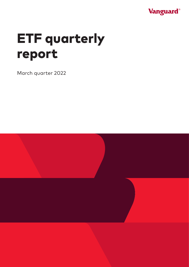

# ETF quarterly report

March quarter 2022

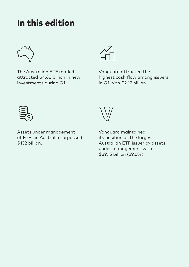### In this edition



The Australian ETF market attracted \$4.68 billion in new investments during Q1.



Vanguard attracted the highest cash flow among issuers in Q1 with \$2.17 billion.



Assets under management of ETFs in Australia surpassed \$132 billion.



Vanguard maintained its position as the largest Australian ETF issuer by assets under management with \$39.15 billion (29.6%).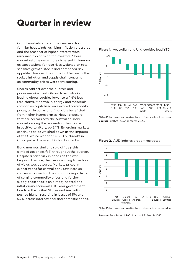### Quarter in review

Global markets entered the new year facing familiar headwinds, as rising inflation pressures and the prospect of higher interest rates remained top of mind for investors. Share market returns were more dispersed in January as expectations for rate rises weighed on ratesensitive growth stocks and dampened risk appetite. However, the conflict in Ukraine further stoked inflation and supply chain concerns as commodity prices were sent soaring.

Shares sold off over the quarter and prices remained volatile, with tech stocks leading global equities lower to a 4.6% loss (see chart). Meanwhile, energy and materials companies capitalised on elevated commodity prices, while banks and financials benefitted from higher interest rates. Heavy exposure to these sectors saw the Australian share market among the few ending the quarter in positive territory, up 2.1%. Emerging markets continued to be weighed down as the impacts of the Ukraine war and COVID outbreaks in China pulled the overall index down 6.1%.

Bond markets similarly sold off as yields climbed (as prices fell) throughout the quarter. Despite a brief rally in bonds as the war began in Ukraine, the overwhelming trajectory of yields was upwards. Markets priced in expectations for central bank rate rises as concerns focused on the compounding effects of surging commodity prices and further supply chain shocks on already heated and inflationary economies. 10-year government bonds in the United States and Australia pushed higher, resulting in losses of 5% and 5.9% across international and domestic bonds.

#### 4%  $\Omega$ TD return YTD return –4 –8 –12 FTSE ASX Nikkei S&P MSCI STOXX MSCI **MSCI** 225 500  $\Delta\cap$ 100 300 600 EM China A World Onshore

Note: Returns are cumulative total returns in local currency. Source: FactSet, as of 31 March 2022.





Note: Returns are cumulative total returns denominated in AUD.

Sources: FactSet and Refinitiv, as of 31 March 2022.

Figure 1. Australian and U.K. equities lead YTD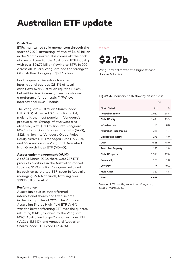### Australian ETF update

#### Cash flow

ETFs maintained solid momentum through the start of 2022, attracting inflows of \$4.68 billion in the March quarter. This comes off the back of a record year for the Australian ETF industry, with over \$24.79 billion flowing to ETFs in 2021. Across all issuers, Vanguard had the strongest Q1 cash flow, bringing in \$2.17 billion.

For the quarter, investors favoured international equities (23.5% of total cash flow) over Australian equities (15.6%), but within fixed interest, investors showed a preference for domestic (4.7%) over international (4.0%) bonds.

The Vanguard Australian Shares Index ETF (VAS) attracted \$730 million in Q1, making it the most popular in Vanguard's product suite. Strong inflows were also observed, with \$318 million into Vanguard MSCI International Shares Index ETF (VGS), \$228 million into Vanguard Global Value Equity Active ETF (Managed Fund) (VVLU), and \$164 million into Vanguard Diversified High Growth Index ETF (VDHG).

#### Assets under management (AUM)

As of 31 March 2022, there were 247 ETF products available in the Australian market, totalling \$132.4 billion. Vanguard retained its position as the top ETF issuer in Australia, managing 29.4% of funds, totalling over \$39.15 billion in AUM.

#### **Performance**

Australian equities outperformed international shares and fixed income in the first quarter of 2022. The Vanguard Australian Shares High Yield ETF (VHY) was the best performing ETF over the quarter, returning 8.41%, followed by the Vanguard MSCI Australian Large Companies Index ETF (VLC) (+5.56%), and Vanguard Australian Shares Index ETF (VAS) (+2.07%).

#### ETF FACT

## \$2.17b

Vanguard attracted the highest cash flow in Q1 2022.

#### Figure 3. Industry cash flow by asset class

|                                |        | Q1            |  |  |
|--------------------------------|--------|---------------|--|--|
| <b>ASSET CLASS</b>             | \$M    | $\frac{1}{2}$ |  |  |
| <b>Australian Equity</b>       | 1,080  | 15.6          |  |  |
| <b>Global Equity</b>           | 1,626  | 23.5          |  |  |
| Infrastructure                 | 55     | 0.8           |  |  |
| <b>Australian Fixed Income</b> | 325    | 4.7           |  |  |
| <b>Global Fixed Income</b>     | 278    | 4.0           |  |  |
| Cash                           | $-555$ | $-8.0$        |  |  |
| <b>Australian Property</b>     | 122    | 1.8           |  |  |
| <b>Global Property</b>         | 1,316  | 19.0          |  |  |
| Commodity                      | 125    | 1.8           |  |  |
| <b>Currency</b>                | $-4$   | $-0.1$        |  |  |
| Multi Asset                    | 310    | 4.5           |  |  |
| <b>Total</b>                   | 4,679  |               |  |  |

**Sources:** ASX monthly report and Vanguard, as at 31 March 2022.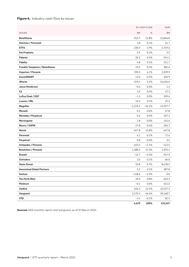#### Figure 4. Industry cash flow by issuer

|                                   |            | Q1 CASH FLOW | AUM      |
|-----------------------------------|------------|--------------|----------|
| <b>ISSUER</b>                     | \$M        | %            | \$M      |
| <b>BetaShares</b>                 | 552.7      | 11.8%        | 21,846.8 |
| Daintree / Perennial              | 2.8        | 0.1%         | 14.7     |
| <b>ETFS</b>                       | 230.0      | 4.9%         | 4,749.6  |
| <b>Fat Prophets</b>               | 3.5        | 0.1%         | 3.5      |
| <b>Fidante</b>                    | 20.2       | 0.4%         | 914.3    |
| <b>Fidelity</b>                   | 4.8        | 0.1%         | 311.7    |
| Franklin Templeton / BetaShares   | 19.6       | 0.4%         | 382.6    |
| <b>Hyperion / Pinnacle</b>        | 190.5      | 4.1%         | 2,209.9  |
| <b>InvestSMART</b>                | 13.0       | 0.3%         | 260.9    |
| <b>iShares</b>                    | 243.4      | 5.2%         | 24,636.6 |
| <b>Janus Henderson</b>            | $-0.5$     | 0.0%         | 1.3      |
| K <sub>2</sub>                    | 2.0        | 0.0%         | 27.3     |
| Loftus Peak / EQT                 | $-1.3$     | 0.0%         | 209.4    |
| Loomis / IML                      | 10.3       | 0.2%         | 25.5     |
| Magellan                          | $-1,219.3$ | $-26.1%$     | 13,357.7 |
| Monash                            | 0.1        | 0.0%         | 27.8     |
| Montaka / Perpetual               | 0.6        | 0.0%         | 107.3    |
| Morningstar                       | 1.8        | 0.0%         | 142.6    |
| Munro / GSFM                      | 27.8       | 0.6%         | 204.7    |
| Nanuk                             | 647.8      | 13.8%        | 647.8    |
| Perennial                         | 4.1        | 0.1%         | 71.6     |
| Perpetual                         | 0.8        | 0.0%         | 3.6      |
| Antipodes / Pinnacle              | $-103.5$   | $-2.2%$      | 413.5    |
| <b>Resolution / Pinnacle</b>      | 1,288.2    | 27.5%        | 1,393.1  |
| <b>Russell</b>                    | $-15.7$    | $-0.3%$      | 947.9    |
| <b>Schroders</b>                  | 2.6        | 0.1%         | 66.0     |
| <b>State Street</b>               | 33.8       | 0.7%         | 8,478.5  |
| <b>Associated Global Partners</b> | 5.2        | 0.1%         | 387.8    |
| Switzer                           | $-118.6$   | $-2.5%$      | 0.0      |
| The Perth Mint                    | 39.0       | 0.8%         | 663.3    |
| Platinum                          | $-0.1$     | 0.0%         | 451.0    |
| VanEck                            | 626.3      | 13.4%        | 10,237.3 |
| Vanguard                          | 2,170.3    | 46.4%        | 39,148.7 |
| <b>XTB</b>                        | $-3.4$     | $-0.1%$      | 82.5     |
|                                   | 4,679      | 100%         | 132,427  |

Sources: ASX monthly report and Vanguard, as of 31 March 2022.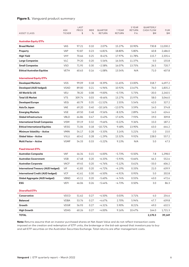#### Figure 5. Vanguard product summary

| <b>Australian Equity ETFs</b><br>2.07%<br><b>Broad Market</b><br><b>VAS</b><br>97.21<br>0.10<br>15.27%<br>10.90%<br>730.8<br>11,030.2<br><b>VAP</b><br>92.87<br>5.80%<br>40.8<br>0.23<br>$-6.81\%$<br>18.80%<br>2,486.0<br>Property<br><b>VHY</b><br>8.41%<br>17.97%<br>11.78%<br><b>High Yield</b><br>70.66<br>0.25<br>115.7<br>2,335.4<br><b>Large Companies</b><br><b>VLC</b><br>79.20<br>0.20<br>5.56%<br>16.54%<br>11.37%<br>$-3.0$<br>155.8<br><b>Small Companies</b><br><b>VSO</b><br>71.95<br>0.30<br>$-2.58%$<br>16.07%<br>13.75%<br>26.5<br>720.7<br><b>Ethical Australian Equities</b><br><b>VETH</b><br>$-1.08%$<br>N/A<br>407.8<br>60.63<br>0.16<br>13.54%<br>71.0<br><b>International Equity ETFs</b><br><b>VGS</b><br>$-8.39%$<br>318.7<br>4,697.2<br><b>Developed Markets</b><br>99.09<br>0.18<br>11.65%<br>13.00%<br>Developed (AUD hedged)<br><b>VGAD</b><br>89.00<br>0.21<br>$-4.96%$<br>10.92%<br>13.67%<br>76.0<br>1,835.2<br><b>VEU</b><br>78.20<br>0.08<br>$-9.00\%$<br>$-0.73%$<br>5.73%<br>$-20.0$<br>All World Ex US<br>2,240.5<br><b>Total US Market</b><br><b>VTS</b><br>309.74<br>15.97%<br>58.0<br>0.03<br>$-8.46%$<br>13.27%<br>3,046.0<br><b>VEQ</b><br>60.79<br>42.0<br><b>Developed Europe</b><br>0.35<br>$-11.52%$<br>2.55%<br>5.54%<br>327.2<br><b>VAE</b><br>69.20<br>0.40<br>$-10.16%$<br>$-12.07%$<br>3.59%<br>14.0<br>374.8<br>Asia Ex Japan<br><b>Emerging Markets</b><br>VGE<br>69.50<br>0.48<br>$-9.56%$<br>2.89%<br>14.0<br>624.6<br>$-8.32%$<br><b>VBLD</b><br>7.93%<br>309.8<br><b>Global Infrastructure</b><br>64.86<br>0.47<br>0.43%<br>17.63%<br>19.0<br><b>VISM</b><br>187.2<br><b>International Small Companies</b><br>59.19<br>0.32<br>$-9.66%$<br>$-0.22%$<br>9.36%<br>15.0<br><b>Ethical International Equities</b><br><b>VESG</b><br>71.06<br>0.18<br>$-10.72%$<br>9.48%<br>13.90%<br>63.0<br>644.2<br><b>VMIN</b><br>54.17<br>$-3.33%$<br>5.21%<br>15.0<br><b>Minimum Volatility - Active</b><br>0.28<br>3.14%<br>$-2.0$<br><b>Global Value - Active</b><br><b>VVLU</b><br>60.42<br>0.28<br>$-1.29%$<br>13.32%<br>9.92%<br>228.0<br>557.2<br>5.0<br>47.3<br><b>Multi Factor - Active</b><br><b>VGMF</b><br>54.33<br>0.33<br>$-5.22%$<br>9.13%<br>N/A<br><b>Fixed Interest ETFs</b><br><b>VAF</b><br>46.34<br>0.15<br>$-6.00%$<br>$-0.50%$<br>7.8<br>1,298.0<br><b>Australian Composite</b><br>$-5.73%$<br>552.6<br><b>Australian Government</b><br><b>VGB</b><br>47.48<br>0.20<br>$-6.33%$<br>$-5.93%$<br>$-0.66%$<br>46.3<br><b>VACF</b><br>49.45<br>0.20<br>$-4.76%$<br>$-5.12%$<br>$-33.0$<br>606.2<br><b>Australian Corporate</b><br>0.61%<br><b>International Treasury (AUD hedged)</b><br>VIF<br>41.83<br>0.20<br>$-4.72%$<br>$-4.19%$<br>21.0<br>639.9<br>0.33%<br><b>International Credit (AUD hedged)</b><br><b>VCF</b><br>$-4.91%$<br>5.0<br>202.8<br>41.61<br>0.30<br>$-6.50%$<br>0.95%<br><b>Global Aggregate (AUD hedged)</b><br><b>VBND</b><br>45.11<br>0.20<br>$-5.60%$<br>$-4.74%$<br>0.55%<br>43.0<br>472.6<br><b>ESG</b><br><b>VEFI</b><br>46.06<br>0.26<br>0.50%<br>3.0<br>86.3<br>-5.44%<br>$-4.73%$<br><b>Diversified ETFs</b><br>VDCO<br>Conservative<br>51.62<br>0.27<br>$-4.50%$<br>0.03%<br>3.71%<br>4.0<br>254.6<br><b>VDBA</b><br>5.94%<br>639.8<br><b>Balanced</b><br>53.76<br>0.27<br>$-4.67\%$<br>2.70%<br>47.7 |                    | ASX           | LAST<br><b>PRICE</b> | MER | QUARTER | 1 YEAR        | 3 YEAR<br>RETURN | <b>QUARTERLY</b><br><b>CASH FLOW</b> | <b>FUM</b> |
|-------------------------------------------------------------------------------------------------------------------------------------------------------------------------------------------------------------------------------------------------------------------------------------------------------------------------------------------------------------------------------------------------------------------------------------------------------------------------------------------------------------------------------------------------------------------------------------------------------------------------------------------------------------------------------------------------------------------------------------------------------------------------------------------------------------------------------------------------------------------------------------------------------------------------------------------------------------------------------------------------------------------------------------------------------------------------------------------------------------------------------------------------------------------------------------------------------------------------------------------------------------------------------------------------------------------------------------------------------------------------------------------------------------------------------------------------------------------------------------------------------------------------------------------------------------------------------------------------------------------------------------------------------------------------------------------------------------------------------------------------------------------------------------------------------------------------------------------------------------------------------------------------------------------------------------------------------------------------------------------------------------------------------------------------------------------------------------------------------------------------------------------------------------------------------------------------------------------------------------------------------------------------------------------------------------------------------------------------------------------------------------------------------------------------------------------------------------------------------------------------------------------------------------------------------------------------------------------------------------------------------------------------------------------------------------------------------------------------------------------------------------------------------------------------------------------------------------------------------------------------------------------------------------------------------------------------------------------------------------------------------------------------------------------------------------------------------------------------------------------------------------------------------------------------------------------------------------------------------------------------------------------------------------------------------|--------------------|---------------|----------------------|-----|---------|---------------|------------------|--------------------------------------|------------|
|                                                                                                                                                                                                                                                                                                                                                                                                                                                                                                                                                                                                                                                                                                                                                                                                                                                                                                                                                                                                                                                                                                                                                                                                                                                                                                                                                                                                                                                                                                                                                                                                                                                                                                                                                                                                                                                                                                                                                                                                                                                                                                                                                                                                                                                                                                                                                                                                                                                                                                                                                                                                                                                                                                                                                                                                                                                                                                                                                                                                                                                                                                                                                                                                                                                                                                       | <b>ASSET CLASS</b> | <b>TICKER</b> | \$                   | %   | RETURN  | <b>RETURN</b> | P.A.             | \$Μ                                  | \$М        |
|                                                                                                                                                                                                                                                                                                                                                                                                                                                                                                                                                                                                                                                                                                                                                                                                                                                                                                                                                                                                                                                                                                                                                                                                                                                                                                                                                                                                                                                                                                                                                                                                                                                                                                                                                                                                                                                                                                                                                                                                                                                                                                                                                                                                                                                                                                                                                                                                                                                                                                                                                                                                                                                                                                                                                                                                                                                                                                                                                                                                                                                                                                                                                                                                                                                                                                       |                    |               |                      |     |         |               |                  |                                      |            |
|                                                                                                                                                                                                                                                                                                                                                                                                                                                                                                                                                                                                                                                                                                                                                                                                                                                                                                                                                                                                                                                                                                                                                                                                                                                                                                                                                                                                                                                                                                                                                                                                                                                                                                                                                                                                                                                                                                                                                                                                                                                                                                                                                                                                                                                                                                                                                                                                                                                                                                                                                                                                                                                                                                                                                                                                                                                                                                                                                                                                                                                                                                                                                                                                                                                                                                       |                    |               |                      |     |         |               |                  |                                      |            |
|                                                                                                                                                                                                                                                                                                                                                                                                                                                                                                                                                                                                                                                                                                                                                                                                                                                                                                                                                                                                                                                                                                                                                                                                                                                                                                                                                                                                                                                                                                                                                                                                                                                                                                                                                                                                                                                                                                                                                                                                                                                                                                                                                                                                                                                                                                                                                                                                                                                                                                                                                                                                                                                                                                                                                                                                                                                                                                                                                                                                                                                                                                                                                                                                                                                                                                       |                    |               |                      |     |         |               |                  |                                      |            |
|                                                                                                                                                                                                                                                                                                                                                                                                                                                                                                                                                                                                                                                                                                                                                                                                                                                                                                                                                                                                                                                                                                                                                                                                                                                                                                                                                                                                                                                                                                                                                                                                                                                                                                                                                                                                                                                                                                                                                                                                                                                                                                                                                                                                                                                                                                                                                                                                                                                                                                                                                                                                                                                                                                                                                                                                                                                                                                                                                                                                                                                                                                                                                                                                                                                                                                       |                    |               |                      |     |         |               |                  |                                      |            |
|                                                                                                                                                                                                                                                                                                                                                                                                                                                                                                                                                                                                                                                                                                                                                                                                                                                                                                                                                                                                                                                                                                                                                                                                                                                                                                                                                                                                                                                                                                                                                                                                                                                                                                                                                                                                                                                                                                                                                                                                                                                                                                                                                                                                                                                                                                                                                                                                                                                                                                                                                                                                                                                                                                                                                                                                                                                                                                                                                                                                                                                                                                                                                                                                                                                                                                       |                    |               |                      |     |         |               |                  |                                      |            |
|                                                                                                                                                                                                                                                                                                                                                                                                                                                                                                                                                                                                                                                                                                                                                                                                                                                                                                                                                                                                                                                                                                                                                                                                                                                                                                                                                                                                                                                                                                                                                                                                                                                                                                                                                                                                                                                                                                                                                                                                                                                                                                                                                                                                                                                                                                                                                                                                                                                                                                                                                                                                                                                                                                                                                                                                                                                                                                                                                                                                                                                                                                                                                                                                                                                                                                       |                    |               |                      |     |         |               |                  |                                      |            |
|                                                                                                                                                                                                                                                                                                                                                                                                                                                                                                                                                                                                                                                                                                                                                                                                                                                                                                                                                                                                                                                                                                                                                                                                                                                                                                                                                                                                                                                                                                                                                                                                                                                                                                                                                                                                                                                                                                                                                                                                                                                                                                                                                                                                                                                                                                                                                                                                                                                                                                                                                                                                                                                                                                                                                                                                                                                                                                                                                                                                                                                                                                                                                                                                                                                                                                       |                    |               |                      |     |         |               |                  |                                      |            |
|                                                                                                                                                                                                                                                                                                                                                                                                                                                                                                                                                                                                                                                                                                                                                                                                                                                                                                                                                                                                                                                                                                                                                                                                                                                                                                                                                                                                                                                                                                                                                                                                                                                                                                                                                                                                                                                                                                                                                                                                                                                                                                                                                                                                                                                                                                                                                                                                                                                                                                                                                                                                                                                                                                                                                                                                                                                                                                                                                                                                                                                                                                                                                                                                                                                                                                       |                    |               |                      |     |         |               |                  |                                      |            |
|                                                                                                                                                                                                                                                                                                                                                                                                                                                                                                                                                                                                                                                                                                                                                                                                                                                                                                                                                                                                                                                                                                                                                                                                                                                                                                                                                                                                                                                                                                                                                                                                                                                                                                                                                                                                                                                                                                                                                                                                                                                                                                                                                                                                                                                                                                                                                                                                                                                                                                                                                                                                                                                                                                                                                                                                                                                                                                                                                                                                                                                                                                                                                                                                                                                                                                       |                    |               |                      |     |         |               |                  |                                      |            |
|                                                                                                                                                                                                                                                                                                                                                                                                                                                                                                                                                                                                                                                                                                                                                                                                                                                                                                                                                                                                                                                                                                                                                                                                                                                                                                                                                                                                                                                                                                                                                                                                                                                                                                                                                                                                                                                                                                                                                                                                                                                                                                                                                                                                                                                                                                                                                                                                                                                                                                                                                                                                                                                                                                                                                                                                                                                                                                                                                                                                                                                                                                                                                                                                                                                                                                       |                    |               |                      |     |         |               |                  |                                      |            |
|                                                                                                                                                                                                                                                                                                                                                                                                                                                                                                                                                                                                                                                                                                                                                                                                                                                                                                                                                                                                                                                                                                                                                                                                                                                                                                                                                                                                                                                                                                                                                                                                                                                                                                                                                                                                                                                                                                                                                                                                                                                                                                                                                                                                                                                                                                                                                                                                                                                                                                                                                                                                                                                                                                                                                                                                                                                                                                                                                                                                                                                                                                                                                                                                                                                                                                       |                    |               |                      |     |         |               |                  |                                      |            |
|                                                                                                                                                                                                                                                                                                                                                                                                                                                                                                                                                                                                                                                                                                                                                                                                                                                                                                                                                                                                                                                                                                                                                                                                                                                                                                                                                                                                                                                                                                                                                                                                                                                                                                                                                                                                                                                                                                                                                                                                                                                                                                                                                                                                                                                                                                                                                                                                                                                                                                                                                                                                                                                                                                                                                                                                                                                                                                                                                                                                                                                                                                                                                                                                                                                                                                       |                    |               |                      |     |         |               |                  |                                      |            |
|                                                                                                                                                                                                                                                                                                                                                                                                                                                                                                                                                                                                                                                                                                                                                                                                                                                                                                                                                                                                                                                                                                                                                                                                                                                                                                                                                                                                                                                                                                                                                                                                                                                                                                                                                                                                                                                                                                                                                                                                                                                                                                                                                                                                                                                                                                                                                                                                                                                                                                                                                                                                                                                                                                                                                                                                                                                                                                                                                                                                                                                                                                                                                                                                                                                                                                       |                    |               |                      |     |         |               |                  |                                      |            |
|                                                                                                                                                                                                                                                                                                                                                                                                                                                                                                                                                                                                                                                                                                                                                                                                                                                                                                                                                                                                                                                                                                                                                                                                                                                                                                                                                                                                                                                                                                                                                                                                                                                                                                                                                                                                                                                                                                                                                                                                                                                                                                                                                                                                                                                                                                                                                                                                                                                                                                                                                                                                                                                                                                                                                                                                                                                                                                                                                                                                                                                                                                                                                                                                                                                                                                       |                    |               |                      |     |         |               |                  |                                      |            |
|                                                                                                                                                                                                                                                                                                                                                                                                                                                                                                                                                                                                                                                                                                                                                                                                                                                                                                                                                                                                                                                                                                                                                                                                                                                                                                                                                                                                                                                                                                                                                                                                                                                                                                                                                                                                                                                                                                                                                                                                                                                                                                                                                                                                                                                                                                                                                                                                                                                                                                                                                                                                                                                                                                                                                                                                                                                                                                                                                                                                                                                                                                                                                                                                                                                                                                       |                    |               |                      |     |         |               |                  |                                      |            |
|                                                                                                                                                                                                                                                                                                                                                                                                                                                                                                                                                                                                                                                                                                                                                                                                                                                                                                                                                                                                                                                                                                                                                                                                                                                                                                                                                                                                                                                                                                                                                                                                                                                                                                                                                                                                                                                                                                                                                                                                                                                                                                                                                                                                                                                                                                                                                                                                                                                                                                                                                                                                                                                                                                                                                                                                                                                                                                                                                                                                                                                                                                                                                                                                                                                                                                       |                    |               |                      |     |         |               |                  |                                      |            |
|                                                                                                                                                                                                                                                                                                                                                                                                                                                                                                                                                                                                                                                                                                                                                                                                                                                                                                                                                                                                                                                                                                                                                                                                                                                                                                                                                                                                                                                                                                                                                                                                                                                                                                                                                                                                                                                                                                                                                                                                                                                                                                                                                                                                                                                                                                                                                                                                                                                                                                                                                                                                                                                                                                                                                                                                                                                                                                                                                                                                                                                                                                                                                                                                                                                                                                       |                    |               |                      |     |         |               |                  |                                      |            |
|                                                                                                                                                                                                                                                                                                                                                                                                                                                                                                                                                                                                                                                                                                                                                                                                                                                                                                                                                                                                                                                                                                                                                                                                                                                                                                                                                                                                                                                                                                                                                                                                                                                                                                                                                                                                                                                                                                                                                                                                                                                                                                                                                                                                                                                                                                                                                                                                                                                                                                                                                                                                                                                                                                                                                                                                                                                                                                                                                                                                                                                                                                                                                                                                                                                                                                       |                    |               |                      |     |         |               |                  |                                      |            |
|                                                                                                                                                                                                                                                                                                                                                                                                                                                                                                                                                                                                                                                                                                                                                                                                                                                                                                                                                                                                                                                                                                                                                                                                                                                                                                                                                                                                                                                                                                                                                                                                                                                                                                                                                                                                                                                                                                                                                                                                                                                                                                                                                                                                                                                                                                                                                                                                                                                                                                                                                                                                                                                                                                                                                                                                                                                                                                                                                                                                                                                                                                                                                                                                                                                                                                       |                    |               |                      |     |         |               |                  |                                      |            |
|                                                                                                                                                                                                                                                                                                                                                                                                                                                                                                                                                                                                                                                                                                                                                                                                                                                                                                                                                                                                                                                                                                                                                                                                                                                                                                                                                                                                                                                                                                                                                                                                                                                                                                                                                                                                                                                                                                                                                                                                                                                                                                                                                                                                                                                                                                                                                                                                                                                                                                                                                                                                                                                                                                                                                                                                                                                                                                                                                                                                                                                                                                                                                                                                                                                                                                       |                    |               |                      |     |         |               |                  |                                      |            |
|                                                                                                                                                                                                                                                                                                                                                                                                                                                                                                                                                                                                                                                                                                                                                                                                                                                                                                                                                                                                                                                                                                                                                                                                                                                                                                                                                                                                                                                                                                                                                                                                                                                                                                                                                                                                                                                                                                                                                                                                                                                                                                                                                                                                                                                                                                                                                                                                                                                                                                                                                                                                                                                                                                                                                                                                                                                                                                                                                                                                                                                                                                                                                                                                                                                                                                       |                    |               |                      |     |         |               |                  |                                      |            |
|                                                                                                                                                                                                                                                                                                                                                                                                                                                                                                                                                                                                                                                                                                                                                                                                                                                                                                                                                                                                                                                                                                                                                                                                                                                                                                                                                                                                                                                                                                                                                                                                                                                                                                                                                                                                                                                                                                                                                                                                                                                                                                                                                                                                                                                                                                                                                                                                                                                                                                                                                                                                                                                                                                                                                                                                                                                                                                                                                                                                                                                                                                                                                                                                                                                                                                       |                    |               |                      |     |         |               |                  |                                      |            |
|                                                                                                                                                                                                                                                                                                                                                                                                                                                                                                                                                                                                                                                                                                                                                                                                                                                                                                                                                                                                                                                                                                                                                                                                                                                                                                                                                                                                                                                                                                                                                                                                                                                                                                                                                                                                                                                                                                                                                                                                                                                                                                                                                                                                                                                                                                                                                                                                                                                                                                                                                                                                                                                                                                                                                                                                                                                                                                                                                                                                                                                                                                                                                                                                                                                                                                       |                    |               |                      |     |         |               |                  |                                      |            |
|                                                                                                                                                                                                                                                                                                                                                                                                                                                                                                                                                                                                                                                                                                                                                                                                                                                                                                                                                                                                                                                                                                                                                                                                                                                                                                                                                                                                                                                                                                                                                                                                                                                                                                                                                                                                                                                                                                                                                                                                                                                                                                                                                                                                                                                                                                                                                                                                                                                                                                                                                                                                                                                                                                                                                                                                                                                                                                                                                                                                                                                                                                                                                                                                                                                                                                       |                    |               |                      |     |         |               |                  |                                      |            |
|                                                                                                                                                                                                                                                                                                                                                                                                                                                                                                                                                                                                                                                                                                                                                                                                                                                                                                                                                                                                                                                                                                                                                                                                                                                                                                                                                                                                                                                                                                                                                                                                                                                                                                                                                                                                                                                                                                                                                                                                                                                                                                                                                                                                                                                                                                                                                                                                                                                                                                                                                                                                                                                                                                                                                                                                                                                                                                                                                                                                                                                                                                                                                                                                                                                                                                       |                    |               |                      |     |         |               |                  |                                      |            |
|                                                                                                                                                                                                                                                                                                                                                                                                                                                                                                                                                                                                                                                                                                                                                                                                                                                                                                                                                                                                                                                                                                                                                                                                                                                                                                                                                                                                                                                                                                                                                                                                                                                                                                                                                                                                                                                                                                                                                                                                                                                                                                                                                                                                                                                                                                                                                                                                                                                                                                                                                                                                                                                                                                                                                                                                                                                                                                                                                                                                                                                                                                                                                                                                                                                                                                       |                    |               |                      |     |         |               |                  |                                      |            |
|                                                                                                                                                                                                                                                                                                                                                                                                                                                                                                                                                                                                                                                                                                                                                                                                                                                                                                                                                                                                                                                                                                                                                                                                                                                                                                                                                                                                                                                                                                                                                                                                                                                                                                                                                                                                                                                                                                                                                                                                                                                                                                                                                                                                                                                                                                                                                                                                                                                                                                                                                                                                                                                                                                                                                                                                                                                                                                                                                                                                                                                                                                                                                                                                                                                                                                       |                    |               |                      |     |         |               |                  |                                      |            |
|                                                                                                                                                                                                                                                                                                                                                                                                                                                                                                                                                                                                                                                                                                                                                                                                                                                                                                                                                                                                                                                                                                                                                                                                                                                                                                                                                                                                                                                                                                                                                                                                                                                                                                                                                                                                                                                                                                                                                                                                                                                                                                                                                                                                                                                                                                                                                                                                                                                                                                                                                                                                                                                                                                                                                                                                                                                                                                                                                                                                                                                                                                                                                                                                                                                                                                       |                    |               |                      |     |         |               |                  |                                      |            |
|                                                                                                                                                                                                                                                                                                                                                                                                                                                                                                                                                                                                                                                                                                                                                                                                                                                                                                                                                                                                                                                                                                                                                                                                                                                                                                                                                                                                                                                                                                                                                                                                                                                                                                                                                                                                                                                                                                                                                                                                                                                                                                                                                                                                                                                                                                                                                                                                                                                                                                                                                                                                                                                                                                                                                                                                                                                                                                                                                                                                                                                                                                                                                                                                                                                                                                       |                    |               |                      |     |         |               |                  |                                      |            |
|                                                                                                                                                                                                                                                                                                                                                                                                                                                                                                                                                                                                                                                                                                                                                                                                                                                                                                                                                                                                                                                                                                                                                                                                                                                                                                                                                                                                                                                                                                                                                                                                                                                                                                                                                                                                                                                                                                                                                                                                                                                                                                                                                                                                                                                                                                                                                                                                                                                                                                                                                                                                                                                                                                                                                                                                                                                                                                                                                                                                                                                                                                                                                                                                                                                                                                       |                    |               |                      |     |         |               |                  |                                      |            |
|                                                                                                                                                                                                                                                                                                                                                                                                                                                                                                                                                                                                                                                                                                                                                                                                                                                                                                                                                                                                                                                                                                                                                                                                                                                                                                                                                                                                                                                                                                                                                                                                                                                                                                                                                                                                                                                                                                                                                                                                                                                                                                                                                                                                                                                                                                                                                                                                                                                                                                                                                                                                                                                                                                                                                                                                                                                                                                                                                                                                                                                                                                                                                                                                                                                                                                       |                    |               |                      |     |         |               |                  |                                      |            |
|                                                                                                                                                                                                                                                                                                                                                                                                                                                                                                                                                                                                                                                                                                                                                                                                                                                                                                                                                                                                                                                                                                                                                                                                                                                                                                                                                                                                                                                                                                                                                                                                                                                                                                                                                                                                                                                                                                                                                                                                                                                                                                                                                                                                                                                                                                                                                                                                                                                                                                                                                                                                                                                                                                                                                                                                                                                                                                                                                                                                                                                                                                                                                                                                                                                                                                       |                    |               |                      |     |         |               |                  |                                      |            |
|                                                                                                                                                                                                                                                                                                                                                                                                                                                                                                                                                                                                                                                                                                                                                                                                                                                                                                                                                                                                                                                                                                                                                                                                                                                                                                                                                                                                                                                                                                                                                                                                                                                                                                                                                                                                                                                                                                                                                                                                                                                                                                                                                                                                                                                                                                                                                                                                                                                                                                                                                                                                                                                                                                                                                                                                                                                                                                                                                                                                                                                                                                                                                                                                                                                                                                       |                    |               |                      |     |         |               |                  |                                      |            |
|                                                                                                                                                                                                                                                                                                                                                                                                                                                                                                                                                                                                                                                                                                                                                                                                                                                                                                                                                                                                                                                                                                                                                                                                                                                                                                                                                                                                                                                                                                                                                                                                                                                                                                                                                                                                                                                                                                                                                                                                                                                                                                                                                                                                                                                                                                                                                                                                                                                                                                                                                                                                                                                                                                                                                                                                                                                                                                                                                                                                                                                                                                                                                                                                                                                                                                       |                    |               |                      |     |         |               |                  |                                      |            |
| Growth<br><b>VDGR</b><br>56.93<br>5.90%<br>49.0<br>632.5<br>0.27<br>$-4.31%$<br>8.21%                                                                                                                                                                                                                                                                                                                                                                                                                                                                                                                                                                                                                                                                                                                                                                                                                                                                                                                                                                                                                                                                                                                                                                                                                                                                                                                                                                                                                                                                                                                                                                                                                                                                                                                                                                                                                                                                                                                                                                                                                                                                                                                                                                                                                                                                                                                                                                                                                                                                                                                                                                                                                                                                                                                                                                                                                                                                                                                                                                                                                                                                                                                                                                                                                 |                    |               |                      |     |         |               |                  |                                      |            |
| <b>High Growth</b><br><b>VDHG</b><br>60.26<br>0.27<br>$-4.00%$<br>9.16%<br>10.47%<br>164.0<br>1,721.3<br>39,149<br><b>TOTAL</b><br>2,170.3                                                                                                                                                                                                                                                                                                                                                                                                                                                                                                                                                                                                                                                                                                                                                                                                                                                                                                                                                                                                                                                                                                                                                                                                                                                                                                                                                                                                                                                                                                                                                                                                                                                                                                                                                                                                                                                                                                                                                                                                                                                                                                                                                                                                                                                                                                                                                                                                                                                                                                                                                                                                                                                                                                                                                                                                                                                                                                                                                                                                                                                                                                                                                            |                    |               |                      |     |         |               |                  |                                      |            |

Note: Returns assume that an investor purchased shares at Net Asset Value and do not reflect transaction costs imposed on the creation and redemption of ETF units, the brokerage or the bid-ask spread that investors pay to buy and sell ETF securities on the Australian Securities Exchange. Total returns are after management costs.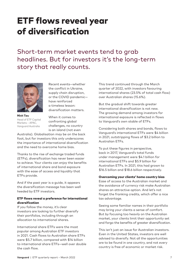### ETF flows reveal year of diversification

Short-term market events tend to grab headlines. But for investors it's the long-term story that really counts.



**Minh Tieu** Head of ETF Capital Markets – APAC, Vanguard Australia

Recent events—whether the conflict in Ukraine, supply chain disruption, or the COVID pandemic have reinforced a timeless lesson: diversification matters.

When it comes to confronting global challenges, no country is an island (not even

Australia). Globalisation may be on the back foot, but for investors this only underscores the importance of international diversification and the need to overcome home bias.

Thanks to the rise of exchange traded funds (ETFs), diversification has never been easier to achieve. Your clients can enjoy the benefits of international share and bond exposure with the ease of access and liquidity that ETFs provide.

And if the past year is a guide, it appears the diversification message has been well heeded by ETF investors.

#### ETF flows reveal a preference for international diversification

If you follow the money, it's clear investors are looking to further diversify their portfolios, including through an allocation to international shares.

International share ETFs were the most popular among Australian ETF investors in 2021. Cash flows to Australian share ETFs were \$5.7 billion, compared with \$14 billion to international share ETFs—well over double the cash flow.

This trend continued through the March quarter of 2022, with investors favouring international shares (23.5% of total cash flow) over Australian shares (15.6%).

But the gradual shift towards greater international diversification is not new. The growing demand among investors for international exposure is reflected in flows to Vanguard's own stable of ETFs.

Considering both shares and bonds, flows to Vanguard's international ETFs were \$4 billion in 2021, outstripping flows of \$3.2 billion to Australian ETFs.

To put these figures in perspective, back in 2017, Vanguard's total funds under management were \$4.1 billion for international ETFs and \$5.9 billion for Australian ETFs. In 2021, this had grown to \$16.5 billion and \$18.6 billion respectively.

#### Overcoming your clients' home country bias

Ease of access to the Australian market and the avoidance of currency risk make Australian shares an attractive option. And let's not forget the franking credits, which offer a nice tax advantage.

Seeing some familiar names in their portfolio may bring your clients a sense of comfort. But by focusing too heavily on the Australian market, your clients limit their opportunity set and forgo the benefits of greater diversification.

This isn't just an issue for Australian investors. Even in the United States, investors are well advised to diversify. Not all the opportunities are to be found in one country, and not every country is free of economic or market risk.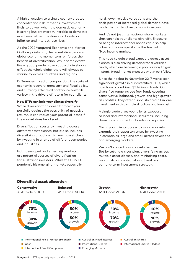A high allocation to a single country creates concentration risk. It means investors are likely to do well when the domestic economy is strong but are more vulnerable to domestic events—whether bushfires and floods, or inflation and interest rate rises.

As the 2022 Vanguard Economic and Market Outlook points out, the recent divergence in global economic momentum reinforces the benefit of diversification. While some events like a global pandemic or supply chain shocks affect the whole globe, there will always be variability across countries and regions.

Differences in sector composition, the state of economic recovery, monetary and fiscal policy, and currency effects all contribute towards variety in the drivers of return for your clients.

#### How ETFs can help your clients diversify

While diversification doesn't protect your portfolio against the possibility of negative returns, it can reduce your potential losses if the market does head south.

Diversification starts by investing across different asset classes, but it also includes diversifying broadly within each asset class by investing in a range of different companies and industries.

Both developed and emerging markets are potential sources of diversification for Australian investors. While the COVID pandemic hit emerging markets especially hard, lower relative valuations and the anticipation of increased global demand have made them attractive to many investors.

And it's not just international share markets that can help your clients diversify. Exposure to hedged international bonds can also help offset some risk specific to the Australian fixed income market.

This need to gain broad exposure across asset classes is also driving demand for diversified funds, which are becoming a popular way to gain instant, broad market exposure within portfolios.

Since their debut in November 2017, we've seen significant growth in our diversified ETFs, which now have a combined \$3 billion in funds. Our diversified range include four funds covering conservative, balanced, growth and high growth risk profiles. They offer a sophisticated all-in-one investment with a simple structure and low cost.

A single trade gives your clients exposure to local and international securities, including thousands of individual bonds and equities.

Giving your clients access to world markets expands their opportunity set by investing in companies large and small across developed and emerging markets.

We can't control how markets behave. But by setting a clear plan, diversifying across multiple asset classes, and minimising costs, we can stay in control of what matters: our long-term investment strategy.



#### Diversified asset allocation